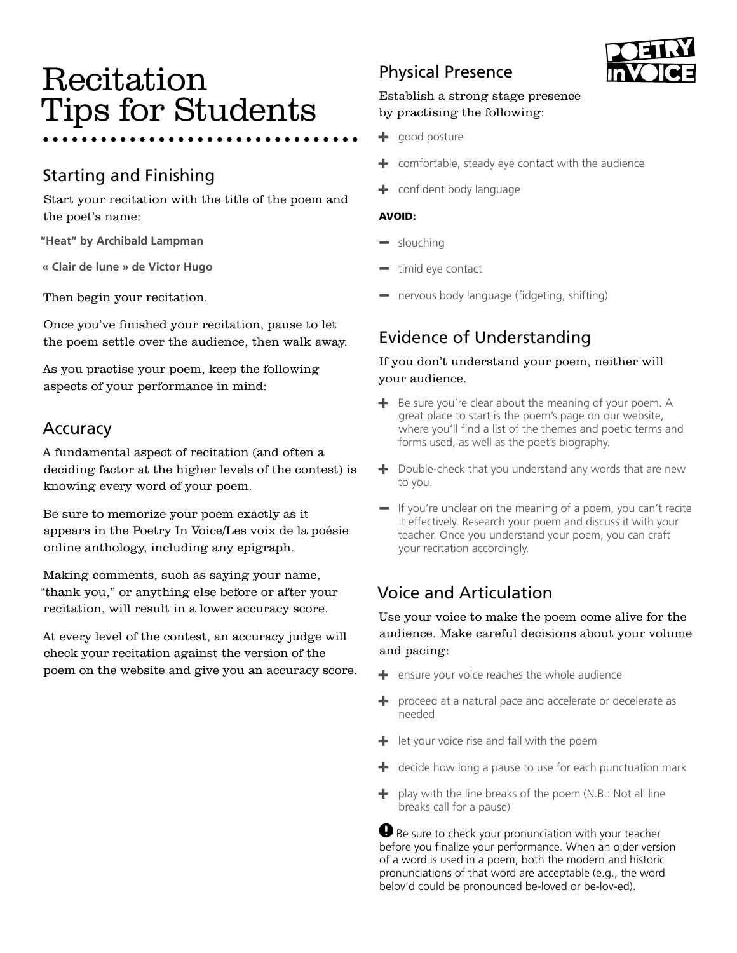# Recitation Tips for Students

# Starting and Finishing

Start your recitation with the title of the poem and the poet's name:

**"Heat" by Archibald Lampman**

**« Clair de lune » de Victor Hugo**

Then begin your recitation.

Once you've finished your recitation, pause to let the poem settle over the audience, then walk away.

As you practise your poem, keep the following aspects of your performance in mind:

## Accuracy

A fundamental aspect of recitation (and often a deciding factor at the higher levels of the contest) is knowing every word of your poem.

Be sure to memorize your poem exactly as it appears in the Poetry In Voice/Les voix de la poésie online anthology, including any epigraph.

Making comments, such as saying your name, "thank you," or anything else before or after your recitation, will result in a lower accuracy score.

At every level of the contest, an accuracy judge will check your recitation against the version of the poem on the website and give you an accuracy score.

# Physical Presence

## Establish a strong stage presence by practising the following:

- $+$  good posture
- $+$  comfortable, steady eye contact with the audience
- confident body language

#### AVOID:

- slouching
- timid eye contact
- nervous body language (fidgeting, shifting)

## Evidence of Understanding

### If you don't understand your poem, neither will your audience.

- $+$  Be sure you're clear about the meaning of your poem. A great place to start is the poem's page on our website, where you'll find a list of the themes and poetic terms and forms used, as well as the poet's biography.
- $+$  Double-check that you understand any words that are new to you.
- If you're unclear on the meaning of a poem, you can't recite it effectively. Research your poem and discuss it with your teacher. Once you understand your poem, you can craft your recitation accordingly.

## Voice and Articulation

Use your voice to make the poem come alive for the audience. Make careful decisions about your volume and pacing:

- $+$  ensure your voice reaches the whole audience
- $+$  proceed at a natural pace and accelerate or decelerate as needed
- $+$  let your voice rise and fall with the poem
- $+$  decide how long a pause to use for each punctuation mark
- $+$  play with the line breaks of the poem (N.B.: Not all line breaks call for a pause)

Be sure to check your pronunciation with your teacher before you finalize your performance. When an older version of a word is used in a poem, both the modern and historic pronunciations of that word are acceptable (e.g., the word belov'd could be pronounced be-loved or be-lov-ed).